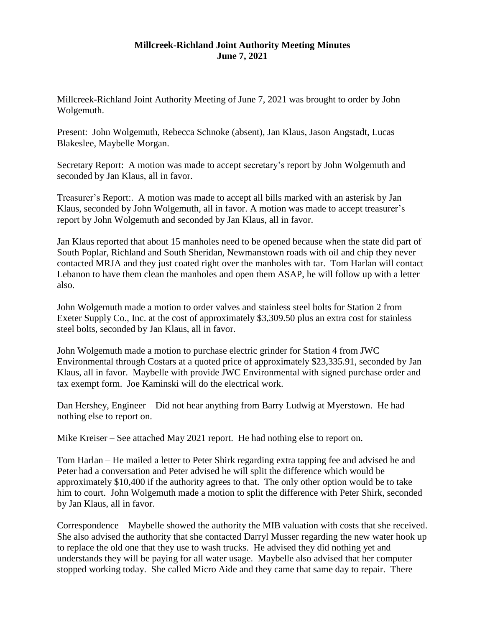## **Millcreek-Richland Joint Authority Meeting Minutes June 7, 2021**

Millcreek-Richland Joint Authority Meeting of June 7, 2021 was brought to order by John Wolgemuth.

Present: John Wolgemuth, Rebecca Schnoke (absent), Jan Klaus, Jason Angstadt, Lucas Blakeslee, Maybelle Morgan.

Secretary Report: A motion was made to accept secretary's report by John Wolgemuth and seconded by Jan Klaus, all in favor.

Treasurer's Report:. A motion was made to accept all bills marked with an asterisk by Jan Klaus, seconded by John Wolgemuth, all in favor. A motion was made to accept treasurer's report by John Wolgemuth and seconded by Jan Klaus, all in favor.

Jan Klaus reported that about 15 manholes need to be opened because when the state did part of South Poplar, Richland and South Sheridan, Newmanstown roads with oil and chip they never contacted MRJA and they just coated right over the manholes with tar. Tom Harlan will contact Lebanon to have them clean the manholes and open them ASAP, he will follow up with a letter also.

John Wolgemuth made a motion to order valves and stainless steel bolts for Station 2 from Exeter Supply Co., Inc. at the cost of approximately \$3,309.50 plus an extra cost for stainless steel bolts, seconded by Jan Klaus, all in favor.

John Wolgemuth made a motion to purchase electric grinder for Station 4 from JWC Environmental through Costars at a quoted price of approximately \$23,335.91, seconded by Jan Klaus, all in favor. Maybelle with provide JWC Environmental with signed purchase order and tax exempt form. Joe Kaminski will do the electrical work.

Dan Hershey, Engineer – Did not hear anything from Barry Ludwig at Myerstown. He had nothing else to report on.

Mike Kreiser – See attached May 2021 report. He had nothing else to report on.

Tom Harlan – He mailed a letter to Peter Shirk regarding extra tapping fee and advised he and Peter had a conversation and Peter advised he will split the difference which would be approximately \$10,400 if the authority agrees to that. The only other option would be to take him to court. John Wolgemuth made a motion to split the difference with Peter Shirk, seconded by Jan Klaus, all in favor.

Correspondence – Maybelle showed the authority the MIB valuation with costs that she received. She also advised the authority that she contacted Darryl Musser regarding the new water hook up to replace the old one that they use to wash trucks. He advised they did nothing yet and understands they will be paying for all water usage. Maybelle also advised that her computer stopped working today. She called Micro Aide and they came that same day to repair. There